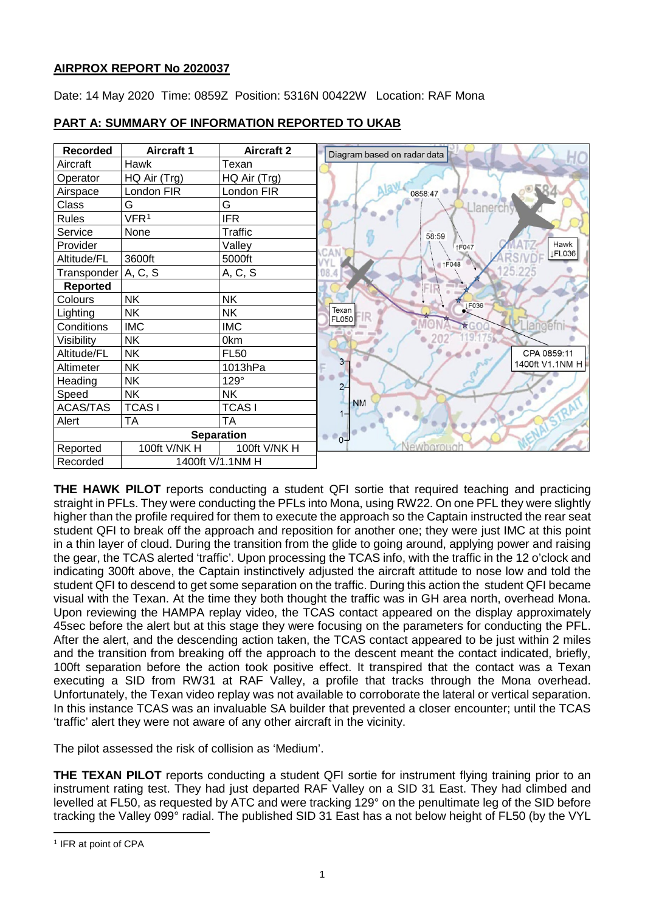# **AIRPROX REPORT No 2020037**

Date: 14 May 2020 Time: 0859Z Position: 5316N 00422W Location: RAF Mona

| <b>Recorded</b>              | <b>Aircraft 1</b> | <b>Aircraft 2</b> | Diagram based on radar data |
|------------------------------|-------------------|-------------------|-----------------------------|
| Aircraft                     | Hawk              | Texan             |                             |
| Operator                     | HQ Air (Trg)      | HQ Air (Trg)      |                             |
| Airspace                     | London FIR        | London FIR        | 0858:47                     |
| Class                        | G                 | G                 |                             |
| <b>Rules</b>                 | VFR <sup>1</sup>  | <b>IFR</b>        |                             |
| Service                      | None              | <b>Traffic</b>    | 58:59                       |
| Provider                     |                   | Valley            | Hawk<br>↑F047               |
| Altitude/FL                  | 3600ft            | 5000ft            | <b>FL036</b><br>↑F048       |
| Transponder                  | A, C, S           | A, C, S           | 08.4                        |
| <b>Reported</b>              |                   |                   |                             |
| Colours                      | <b>NK</b>         | <b>NK</b>         | IF036                       |
| Lighting                     | <b>NK</b>         | <b>NK</b>         | Texan<br>FL050              |
| Conditions                   | <b>IMC</b>        | <b>IMC</b>        | langet                      |
| Visibility                   | <b>NK</b>         | 0km               |                             |
| Altitude/FL                  | <b>NK</b>         | <b>FL50</b>       | CPA 0859:11                 |
| Altimeter                    | <b>NK</b>         | 1013hPa           | $3-$<br>1400ft V1.1NM H     |
| Heading                      | <b>NK</b>         | $129^\circ$       | $2 -$                       |
| Speed                        | <b>NK</b>         | <b>NK</b>         |                             |
| <b>ACAS/TAS</b>              | <b>TCASI</b>      | <b>TCASI</b>      | <b>NM</b>                   |
| Alert                        | <b>TA</b>         | <b>TA</b>         |                             |
| <b>Separation</b>            |                   |                   | $0 -$                       |
| Reported                     | 100ft V/NK H      | 100ft V/NK H      |                             |
| Recorded<br>1400ft V/1.1NM H |                   |                   |                             |

# **PART A: SUMMARY OF INFORMATION REPORTED TO UKAB**

**THE HAWK PILOT** reports conducting a student QFI sortie that required teaching and practicing straight in PFLs. They were conducting the PFLs into Mona, using RW22. On one PFL they were slightly higher than the profile required for them to execute the approach so the Captain instructed the rear seat student QFI to break off the approach and reposition for another one; they were just IMC at this point in a thin layer of cloud. During the transition from the glide to going around, applying power and raising the gear, the TCAS alerted 'traffic'. Upon processing the TCAS info, with the traffic in the 12 o'clock and indicating 300ft above, the Captain instinctively adjusted the aircraft attitude to nose low and told the student QFI to descend to get some separation on the traffic. During this action the student QFI became visual with the Texan. At the time they both thought the traffic was in GH area north, overhead Mona. Upon reviewing the HAMPA replay video, the TCAS contact appeared on the display approximately 45sec before the alert but at this stage they were focusing on the parameters for conducting the PFL. After the alert, and the descending action taken, the TCAS contact appeared to be just within 2 miles and the transition from breaking off the approach to the descent meant the contact indicated, briefly, 100ft separation before the action took positive effect. It transpired that the contact was a Texan executing a SID from RW31 at RAF Valley, a profile that tracks through the Mona overhead. Unfortunately, the Texan video replay was not available to corroborate the lateral or vertical separation. In this instance TCAS was an invaluable SA builder that prevented a closer encounter; until the TCAS 'traffic' alert they were not aware of any other aircraft in the vicinity.

The pilot assessed the risk of collision as 'Medium'.

**THE TEXAN PILOT** reports conducting a student QFI sortie for instrument flying training prior to an instrument rating test. They had just departed RAF Valley on a SID 31 East. They had climbed and levelled at FL50, as requested by ATC and were tracking 129° on the penultimate leg of the SID before tracking the Valley 099° radial. The published SID 31 East has a not below height of FL50 (by the VYL

<span id="page-0-0"></span>l <sup>1</sup> IFR at point of CPA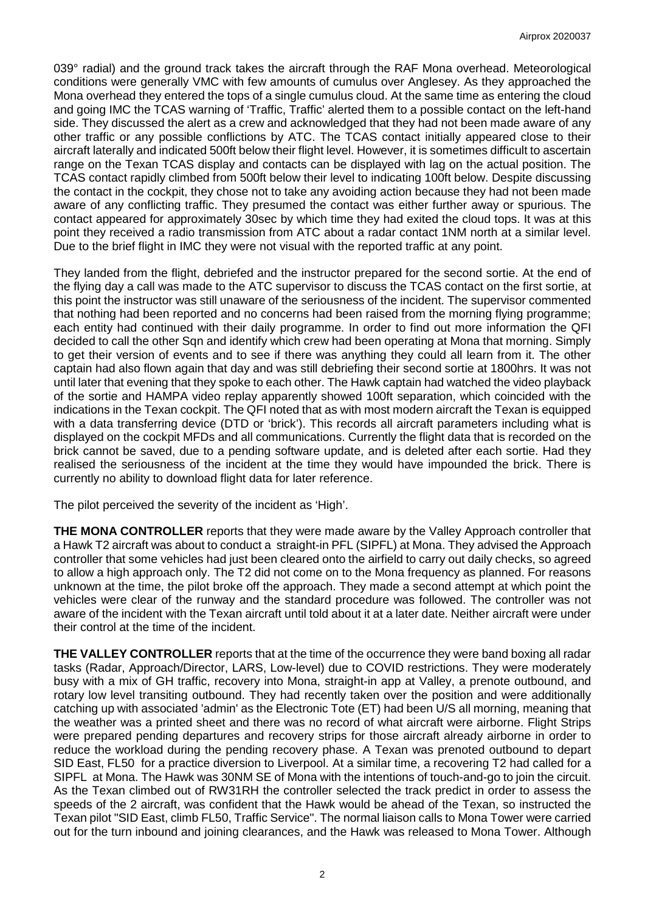039° radial) and the ground track takes the aircraft through the RAF Mona overhead. Meteorological conditions were generally VMC with few amounts of cumulus over Anglesey. As they approached the Mona overhead they entered the tops of a single cumulus cloud. At the same time as entering the cloud and going IMC the TCAS warning of 'Traffic, Traffic' alerted them to a possible contact on the left-hand side. They discussed the alert as a crew and acknowledged that they had not been made aware of any other traffic or any possible conflictions by ATC. The TCAS contact initially appeared close to their aircraft laterally and indicated 500ft below their flight level. However, it is sometimes difficult to ascertain range on the Texan TCAS display and contacts can be displayed with lag on the actual position. The TCAS contact rapidly climbed from 500ft below their level to indicating 100ft below. Despite discussing the contact in the cockpit, they chose not to take any avoiding action because they had not been made aware of any conflicting traffic. They presumed the contact was either further away or spurious. The contact appeared for approximately 30sec by which time they had exited the cloud tops. It was at this point they received a radio transmission from ATC about a radar contact 1NM north at a similar level. Due to the brief flight in IMC they were not visual with the reported traffic at any point.

They landed from the flight, debriefed and the instructor prepared for the second sortie. At the end of the flying day a call was made to the ATC supervisor to discuss the TCAS contact on the first sortie, at this point the instructor was still unaware of the seriousness of the incident. The supervisor commented that nothing had been reported and no concerns had been raised from the morning flying programme; each entity had continued with their daily programme. In order to find out more information the QFI decided to call the other Sqn and identify which crew had been operating at Mona that morning. Simply to get their version of events and to see if there was anything they could all learn from it. The other captain had also flown again that day and was still debriefing their second sortie at 1800hrs. It was not until later that evening that they spoke to each other. The Hawk captain had watched the video playback of the sortie and HAMPA video replay apparently showed 100ft separation, which coincided with the indications in the Texan cockpit. The QFI noted that as with most modern aircraft the Texan is equipped with a data transferring device (DTD or 'brick'). This records all aircraft parameters including what is displayed on the cockpit MFDs and all communications. Currently the flight data that is recorded on the brick cannot be saved, due to a pending software update, and is deleted after each sortie. Had they realised the seriousness of the incident at the time they would have impounded the brick. There is currently no ability to download flight data for later reference.

The pilot perceived the severity of the incident as 'High'.

**THE MONA CONTROLLER** reports that they were made aware by the Valley Approach controller that a Hawk T2 aircraft was about to conduct a straight-in PFL (SIPFL) at Mona. They advised the Approach controller that some vehicles had just been cleared onto the airfield to carry out daily checks, so agreed to allow a high approach only. The T2 did not come on to the Mona frequency as planned. For reasons unknown at the time, the pilot broke off the approach. They made a second attempt at which point the vehicles were clear of the runway and the standard procedure was followed. The controller was not aware of the incident with the Texan aircraft until told about it at a later date. Neither aircraft were under their control at the time of the incident.

**THE VALLEY CONTROLLER** reports that at the time of the occurrence they were band boxing all radar tasks (Radar, Approach/Director, LARS, Low-level) due to COVID restrictions. They were moderately busy with a mix of GH traffic, recovery into Mona, straight-in app at Valley, a prenote outbound, and rotary low level transiting outbound. They had recently taken over the position and were additionally catching up with associated 'admin' as the Electronic Tote (ET) had been U/S all morning, meaning that the weather was a printed sheet and there was no record of what aircraft were airborne. Flight Strips were prepared pending departures and recovery strips for those aircraft already airborne in order to reduce the workload during the pending recovery phase. A Texan was prenoted outbound to depart SID East, FL50 for a practice diversion to Liverpool. At a similar time, a recovering T2 had called for a SIPFL at Mona. The Hawk was 30NM SE of Mona with the intentions of touch-and-go to join the circuit. As the Texan climbed out of RW31RH the controller selected the track predict in order to assess the speeds of the 2 aircraft, was confident that the Hawk would be ahead of the Texan, so instructed the Texan pilot "SID East, climb FL50, Traffic Service". The normal liaison calls to Mona Tower were carried out for the turn inbound and joining clearances, and the Hawk was released to Mona Tower. Although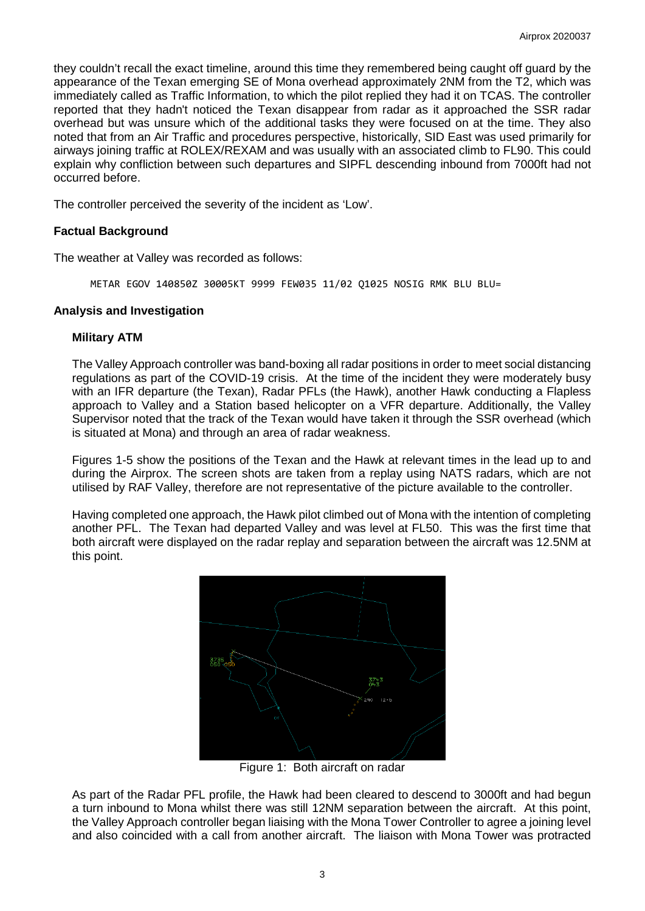they couldn't recall the exact timeline, around this time they remembered being caught off guard by the appearance of the Texan emerging SE of Mona overhead approximately 2NM from the T2, which was immediately called as Traffic Information, to which the pilot replied they had it on TCAS. The controller reported that they hadn't noticed the Texan disappear from radar as it approached the SSR radar overhead but was unsure which of the additional tasks they were focused on at the time. They also noted that from an Air Traffic and procedures perspective, historically, SID East was used primarily for airways joining traffic at ROLEX/REXAM and was usually with an associated climb to FL90. This could explain why confliction between such departures and SIPFL descending inbound from 7000ft had not occurred before.

The controller perceived the severity of the incident as 'Low'.

# **Factual Background**

The weather at Valley was recorded as follows:

METAR EGOV 140850Z 30005KT 9999 FEW035 11/02 Q1025 NOSIG RMK BLU BLU=

### **Analysis and Investigation**

### **Military ATM**

The Valley Approach controller was band-boxing all radar positions in order to meet social distancing regulations as part of the COVID-19 crisis. At the time of the incident they were moderately busy with an IFR departure (the Texan), Radar PFLs (the Hawk), another Hawk conducting a Flapless approach to Valley and a Station based helicopter on a VFR departure. Additionally, the Valley Supervisor noted that the track of the Texan would have taken it through the SSR overhead (which is situated at Mona) and through an area of radar weakness.

Figures 1-5 show the positions of the Texan and the Hawk at relevant times in the lead up to and during the Airprox. The screen shots are taken from a replay using NATS radars, which are not utilised by RAF Valley, therefore are not representative of the picture available to the controller.

Having completed one approach, the Hawk pilot climbed out of Mona with the intention of completing another PFL. The Texan had departed Valley and was level at FL50. This was the first time that both aircraft were displayed on the radar replay and separation between the aircraft was 12.5NM at this point.



Figure 1: Both aircraft on radar

As part of the Radar PFL profile, the Hawk had been cleared to descend to 3000ft and had begun a turn inbound to Mona whilst there was still 12NM separation between the aircraft. At this point, the Valley Approach controller began liaising with the Mona Tower Controller to agree a joining level and also coincided with a call from another aircraft. The liaison with Mona Tower was protracted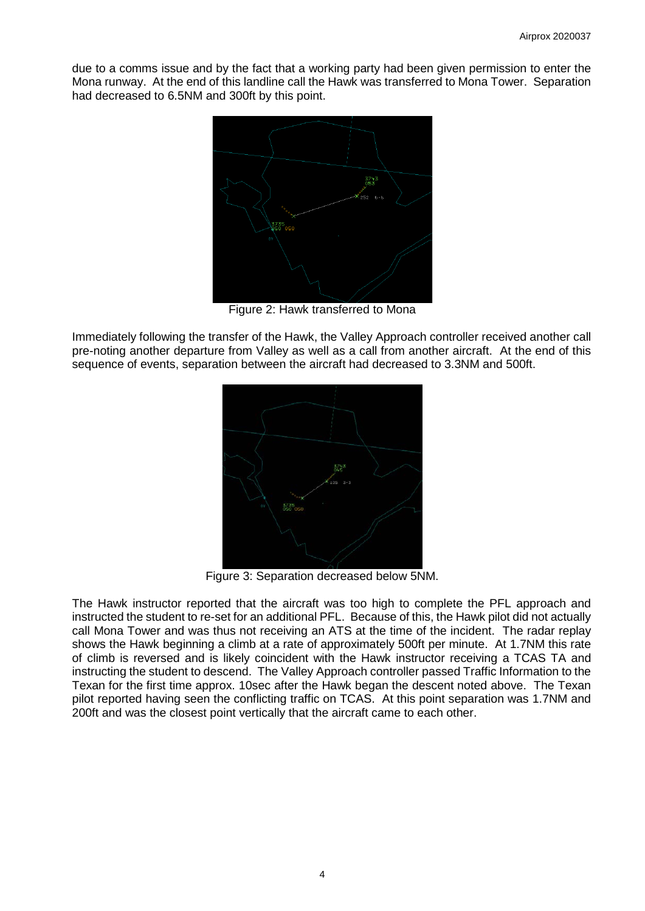due to a comms issue and by the fact that a working party had been given permission to enter the Mona runway. At the end of this landline call the Hawk was transferred to Mona Tower. Separation had decreased to 6.5NM and 300ft by this point.



Figure 2: Hawk transferred to Mona

Immediately following the transfer of the Hawk, the Valley Approach controller received another call pre-noting another departure from Valley as well as a call from another aircraft. At the end of this sequence of events, separation between the aircraft had decreased to 3.3NM and 500ft.



Figure 3: Separation decreased below 5NM.

The Hawk instructor reported that the aircraft was too high to complete the PFL approach and instructed the student to re-set for an additional PFL. Because of this, the Hawk pilot did not actually call Mona Tower and was thus not receiving an ATS at the time of the incident. The radar replay shows the Hawk beginning a climb at a rate of approximately 500ft per minute. At 1.7NM this rate of climb is reversed and is likely coincident with the Hawk instructor receiving a TCAS TA and instructing the student to descend. The Valley Approach controller passed Traffic Information to the Texan for the first time approx. 10sec after the Hawk began the descent noted above. The Texan pilot reported having seen the conflicting traffic on TCAS. At this point separation was 1.7NM and 200ft and was the closest point vertically that the aircraft came to each other.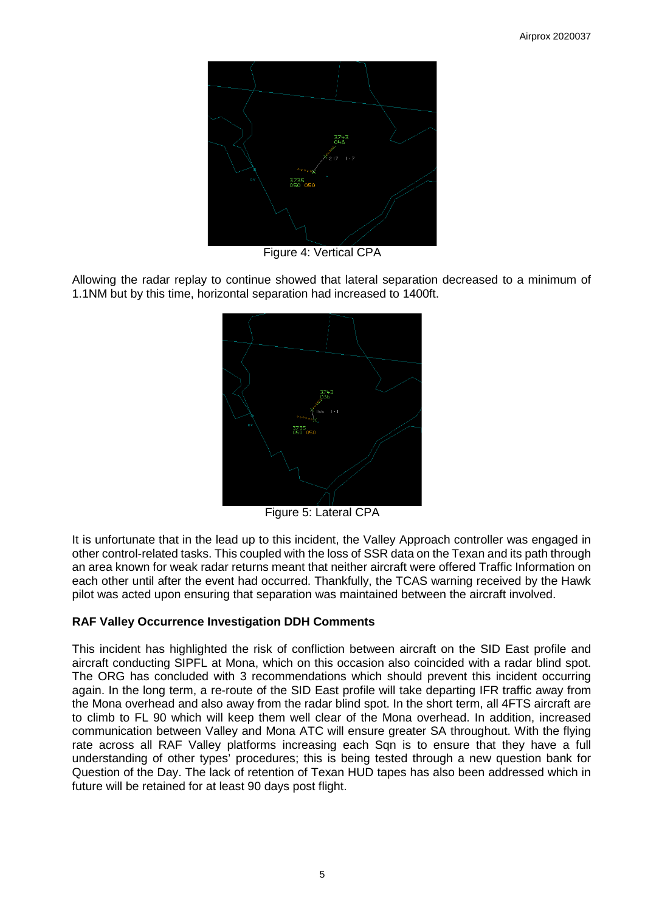

Figure 4: Vertical CPA

Allowing the radar replay to continue showed that lateral separation decreased to a minimum of 1.1NM but by this time, horizontal separation had increased to 1400ft.



Figure 5: Lateral CPA

It is unfortunate that in the lead up to this incident, the Valley Approach controller was engaged in other control-related tasks. This coupled with the loss of SSR data on the Texan and its path through an area known for weak radar returns meant that neither aircraft were offered Traffic Information on each other until after the event had occurred. Thankfully, the TCAS warning received by the Hawk pilot was acted upon ensuring that separation was maintained between the aircraft involved.

# **RAF Valley Occurrence Investigation DDH Comments**

This incident has highlighted the risk of confliction between aircraft on the SID East profile and aircraft conducting SIPFL at Mona, which on this occasion also coincided with a radar blind spot. The ORG has concluded with 3 recommendations which should prevent this incident occurring again. In the long term, a re-route of the SID East profile will take departing IFR traffic away from the Mona overhead and also away from the radar blind spot. In the short term, all 4FTS aircraft are to climb to FL 90 which will keep them well clear of the Mona overhead. In addition, increased communication between Valley and Mona ATC will ensure greater SA throughout. With the flying rate across all RAF Valley platforms increasing each Sqn is to ensure that they have a full understanding of other types' procedures; this is being tested through a new question bank for Question of the Day. The lack of retention of Texan HUD tapes has also been addressed which in future will be retained for at least 90 days post flight.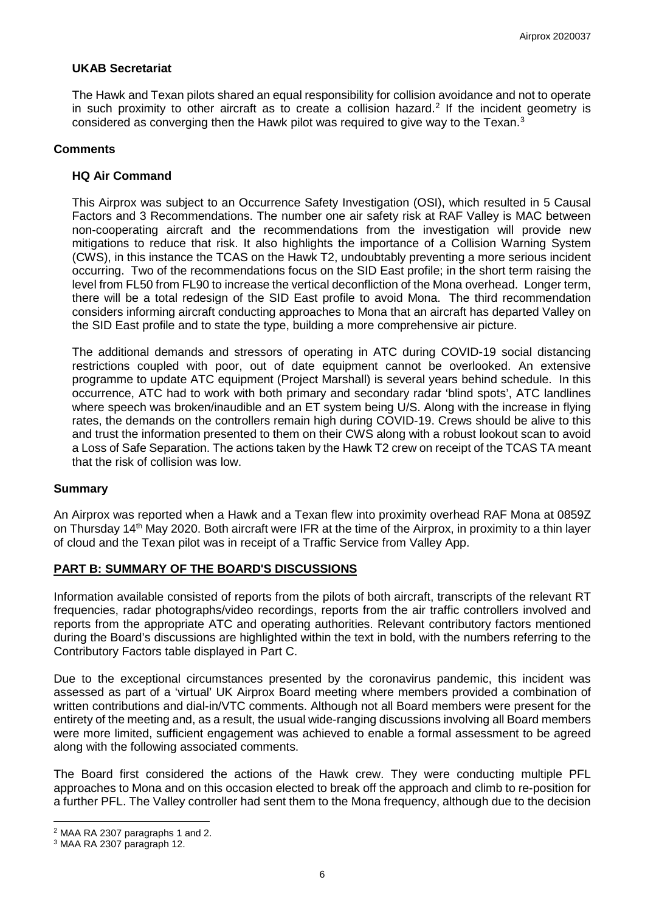### **UKAB Secretariat**

The Hawk and Texan pilots shared an equal responsibility for collision avoidance and not to operate in such proximity to other aircraft as to create a collision hazard.<sup>[2](#page-5-0)</sup> If the incident geometry is considered as converging then the Hawk pilot was required to give way to the Texan[.3](#page-5-1)

### **Comments**

### **HQ Air Command**

This Airprox was subject to an Occurrence Safety Investigation (OSI), which resulted in 5 Causal Factors and 3 Recommendations. The number one air safety risk at RAF Valley is MAC between non-cooperating aircraft and the recommendations from the investigation will provide new mitigations to reduce that risk. It also highlights the importance of a Collision Warning System (CWS), in this instance the TCAS on the Hawk T2, undoubtably preventing a more serious incident occurring. Two of the recommendations focus on the SID East profile; in the short term raising the level from FL50 from FL90 to increase the vertical deconfliction of the Mona overhead. Longer term, there will be a total redesign of the SID East profile to avoid Mona. The third recommendation considers informing aircraft conducting approaches to Mona that an aircraft has departed Valley on the SID East profile and to state the type, building a more comprehensive air picture.

The additional demands and stressors of operating in ATC during COVID-19 social distancing restrictions coupled with poor, out of date equipment cannot be overlooked. An extensive programme to update ATC equipment (Project Marshall) is several years behind schedule. In this occurrence, ATC had to work with both primary and secondary radar 'blind spots', ATC landlines where speech was broken/inaudible and an ET system being U/S. Along with the increase in flying rates, the demands on the controllers remain high during COVID-19. Crews should be alive to this and trust the information presented to them on their CWS along with a robust lookout scan to avoid a Loss of Safe Separation. The actions taken by the Hawk T2 crew on receipt of the TCAS TA meant that the risk of collision was low.

#### **Summary**

An Airprox was reported when a Hawk and a Texan flew into proximity overhead RAF Mona at 0859Z on Thursday 14<sup>th</sup> May 2020. Both aircraft were IFR at the time of the Airprox, in proximity to a thin layer of cloud and the Texan pilot was in receipt of a Traffic Service from Valley App.

# **PART B: SUMMARY OF THE BOARD'S DISCUSSIONS**

Information available consisted of reports from the pilots of both aircraft, transcripts of the relevant RT frequencies, radar photographs/video recordings, reports from the air traffic controllers involved and reports from the appropriate ATC and operating authorities. Relevant contributory factors mentioned during the Board's discussions are highlighted within the text in bold, with the numbers referring to the Contributory Factors table displayed in Part C.

Due to the exceptional circumstances presented by the coronavirus pandemic, this incident was assessed as part of a 'virtual' UK Airprox Board meeting where members provided a combination of written contributions and dial-in/VTC comments. Although not all Board members were present for the entirety of the meeting and, as a result, the usual wide-ranging discussions involving all Board members were more limited, sufficient engagement was achieved to enable a formal assessment to be agreed along with the following associated comments.

The Board first considered the actions of the Hawk crew. They were conducting multiple PFL approaches to Mona and on this occasion elected to break off the approach and climb to re-position for a further PFL. The Valley controller had sent them to the Mona frequency, although due to the decision

 $\overline{\phantom{a}}$ 

<span id="page-5-0"></span><sup>2</sup> MAA RA 2307 paragraphs 1 and 2.

<span id="page-5-1"></span><sup>3</sup> MAA RA 2307 paragraph 12.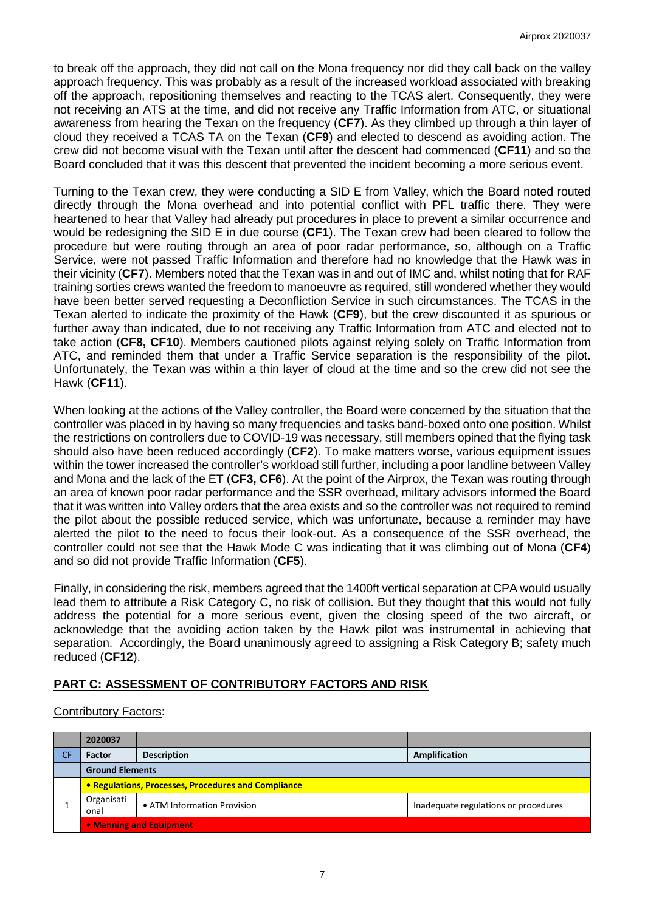to break off the approach, they did not call on the Mona frequency nor did they call back on the valley approach frequency. This was probably as a result of the increased workload associated with breaking off the approach, repositioning themselves and reacting to the TCAS alert. Consequently, they were not receiving an ATS at the time, and did not receive any Traffic Information from ATC, or situational awareness from hearing the Texan on the frequency (**CF7**). As they climbed up through a thin layer of cloud they received a TCAS TA on the Texan (**CF9**) and elected to descend as avoiding action. The crew did not become visual with the Texan until after the descent had commenced (**CF11**) and so the Board concluded that it was this descent that prevented the incident becoming a more serious event.

Turning to the Texan crew, they were conducting a SID E from Valley, which the Board noted routed directly through the Mona overhead and into potential conflict with PFL traffic there. They were heartened to hear that Valley had already put procedures in place to prevent a similar occurrence and would be redesigning the SID E in due course (**CF1**). The Texan crew had been cleared to follow the procedure but were routing through an area of poor radar performance, so, although on a Traffic Service, were not passed Traffic Information and therefore had no knowledge that the Hawk was in their vicinity (**CF7**). Members noted that the Texan was in and out of IMC and, whilst noting that for RAF training sorties crews wanted the freedom to manoeuvre as required, still wondered whether they would have been better served requesting a Deconfliction Service in such circumstances. The TCAS in the Texan alerted to indicate the proximity of the Hawk (**CF9**), but the crew discounted it as spurious or further away than indicated, due to not receiving any Traffic Information from ATC and elected not to take action (**CF8, CF10**). Members cautioned pilots against relying solely on Traffic Information from ATC, and reminded them that under a Traffic Service separation is the responsibility of the pilot. Unfortunately, the Texan was within a thin layer of cloud at the time and so the crew did not see the Hawk (**CF11**).

When looking at the actions of the Valley controller, the Board were concerned by the situation that the controller was placed in by having so many frequencies and tasks band-boxed onto one position. Whilst the restrictions on controllers due to COVID-19 was necessary, still members opined that the flying task should also have been reduced accordingly (**CF2**). To make matters worse, various equipment issues within the tower increased the controller's workload still further, including a poor landline between Valley and Mona and the lack of the ET (**CF3, CF6**). At the point of the Airprox, the Texan was routing through an area of known poor radar performance and the SSR overhead, military advisors informed the Board that it was written into Valley orders that the area exists and so the controller was not required to remind the pilot about the possible reduced service, which was unfortunate, because a reminder may have alerted the pilot to the need to focus their look-out. As a consequence of the SSR overhead, the controller could not see that the Hawk Mode C was indicating that it was climbing out of Mona (**CF4**) and so did not provide Traffic Information (**CF5**).

Finally, in considering the risk, members agreed that the 1400ft vertical separation at CPA would usually lead them to attribute a Risk Category C, no risk of collision. But they thought that this would not fully address the potential for a more serious event, given the closing speed of the two aircraft, or acknowledge that the avoiding action taken by the Hawk pilot was instrumental in achieving that separation. Accordingly, the Board unanimously agreed to assigning a Risk Category B; safety much reduced (**CF12**).

# **PART C: ASSESSMENT OF CONTRIBUTORY FACTORS AND RISK**

# Contributory Factors:

| 2020037                                             |                             |                                      |  |  |
|-----------------------------------------------------|-----------------------------|--------------------------------------|--|--|
| Factor                                              | <b>Description</b>          | Amplification                        |  |  |
| <b>Ground Elements</b>                              |                             |                                      |  |  |
| • Regulations, Processes, Procedures and Compliance |                             |                                      |  |  |
| Organisati<br>onal                                  | • ATM Information Provision | Inadequate regulations or procedures |  |  |
| • Manning and Equipment                             |                             |                                      |  |  |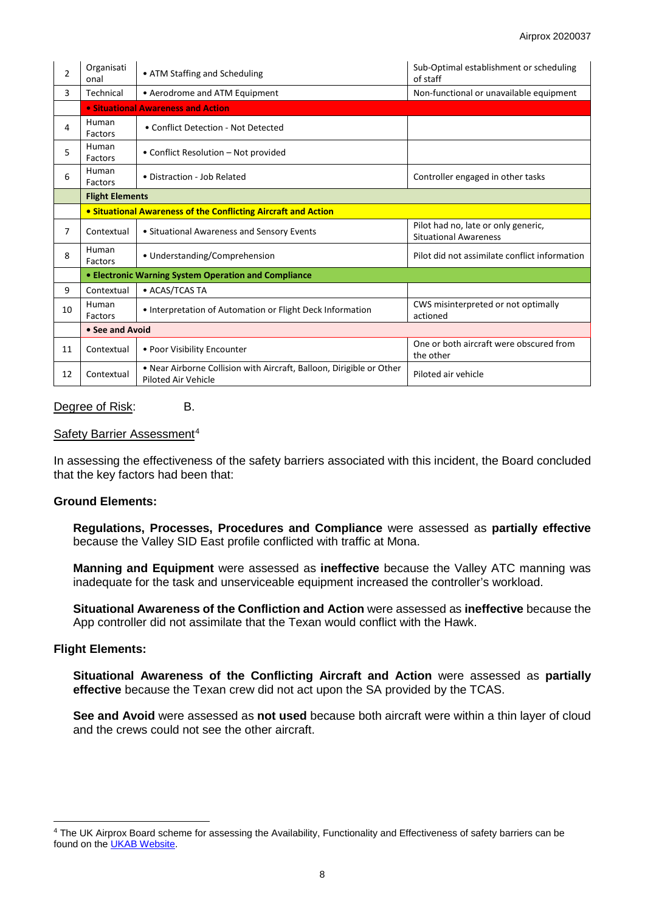| 2              | Organisati<br>onal                                             | • ATM Staffing and Scheduling                                                               | Sub-Optimal establishment or scheduling<br>of staff                 |  |  |
|----------------|----------------------------------------------------------------|---------------------------------------------------------------------------------------------|---------------------------------------------------------------------|--|--|
| 3              | Technical                                                      | • Aerodrome and ATM Equipment                                                               | Non-functional or unavailable equipment                             |  |  |
|                | • Situational Awareness and Action                             |                                                                                             |                                                                     |  |  |
| 4              | Human<br>Factors                                               | • Conflict Detection - Not Detected                                                         |                                                                     |  |  |
| 5              | Human<br>Factors                                               | • Conflict Resolution – Not provided                                                        |                                                                     |  |  |
| 6              | Human<br>Factors                                               | • Distraction - Job Related                                                                 | Controller engaged in other tasks                                   |  |  |
|                | <b>Flight Elements</b>                                         |                                                                                             |                                                                     |  |  |
|                | • Situational Awareness of the Conflicting Aircraft and Action |                                                                                             |                                                                     |  |  |
| $\overline{7}$ | Contextual                                                     | • Situational Awareness and Sensory Events                                                  | Pilot had no, late or only generic,<br><b>Situational Awareness</b> |  |  |
| 8              | Human<br>Factors                                               | • Understanding/Comprehension                                                               | Pilot did not assimilate conflict information                       |  |  |
|                | • Electronic Warning System Operation and Compliance           |                                                                                             |                                                                     |  |  |
| 9              | Contextual                                                     | • ACAS/TCAS TA                                                                              |                                                                     |  |  |
| 10             | Human<br>Factors                                               | • Interpretation of Automation or Flight Deck Information                                   | CWS misinterpreted or not optimally<br>actioned                     |  |  |
|                | • See and Avoid                                                |                                                                                             |                                                                     |  |  |
| 11             | Contextual                                                     | • Poor Visibility Encounter                                                                 | One or both aircraft were obscured from<br>the other                |  |  |
| 12             | Contextual                                                     | . Near Airborne Collision with Aircraft, Balloon, Dirigible or Other<br>Piloted Air Vehicle | Piloted air vehicle                                                 |  |  |

### Degree of Risk: B.

### Safety Barrier Assessment<sup>[4](#page-7-0)</sup>

In assessing the effectiveness of the safety barriers associated with this incident, the Board concluded that the key factors had been that:

#### **Ground Elements:**

**Regulations, Processes, Procedures and Compliance** were assessed as **partially effective** because the Valley SID East profile conflicted with traffic at Mona.

**Manning and Equipment** were assessed as **ineffective** because the Valley ATC manning was inadequate for the task and unserviceable equipment increased the controller's workload.

**Situational Awareness of the Confliction and Action** were assessed as **ineffective** because the App controller did not assimilate that the Texan would conflict with the Hawk.

#### **Flight Elements:**

 $\overline{\phantom{a}}$ 

**Situational Awareness of the Conflicting Aircraft and Action** were assessed as **partially effective** because the Texan crew did not act upon the SA provided by the TCAS.

**See and Avoid** were assessed as **not used** because both aircraft were within a thin layer of cloud and the crews could not see the other aircraft.

<span id="page-7-0"></span><sup>4</sup> The UK Airprox Board scheme for assessing the Availability, Functionality and Effectiveness of safety barriers can be found on the [UKAB Website.](http://www.airproxboard.org.uk/Learn-more/Airprox-Barrier-Assessment/)